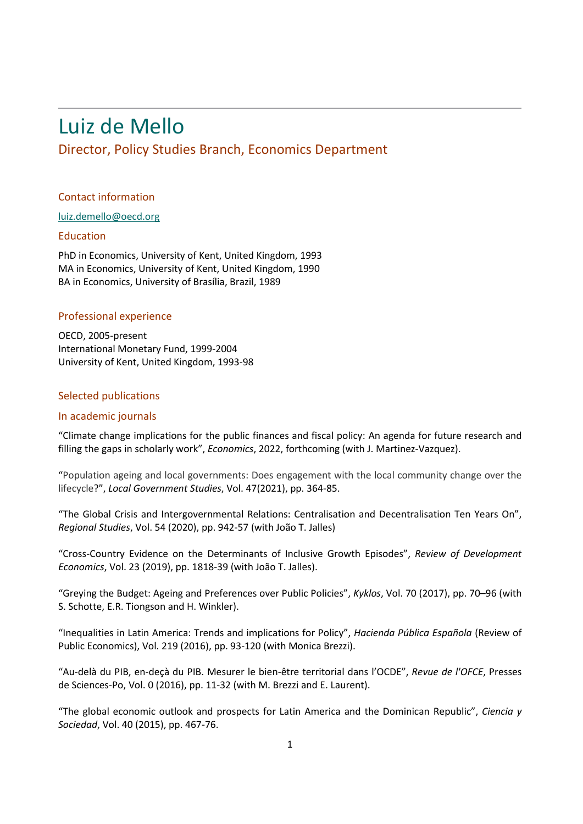# [Luiz de Mello](http://www.oecd.org/about/whodoeswhat/luiz-de-mello.htm)

# Director, Policy Studies Branch, Economics Department

### Contact information

#### [luiz.demello@oecd.org](mailto:luiz.demello@oecd.org)

#### Education

PhD in Economics, University of Kent, United Kingdom, 1993 MA in Economics, University of Kent, United Kingdom, 1990 BA in Economics, University of Brasília, Brazil, 1989

### Professional experience

OECD, 2005-present International Monetary Fund, 1999-2004 University of Kent, United Kingdom, 1993-98

### Selected publications

## In academic journals

"Climate change implications for the public finances and fiscal policy: An agenda for future research and filling the gaps in scholarly work", *Economics*, 2022, forthcoming (with J. Martinez-Vazquez).

"Population ageing and local governments: Does engagement with the local community change over the lifecycle?", *Local Government Studies*, Vol. 47(2021), pp. 364-85.

"The Global Crisis and Intergovernmental Relations: Centralisation and Decentralisation Ten Years On", *Regional Studies*, Vol. 54 (2020), pp. 942-57 (with João T. Jalles)

"Cross-Country Evidence on the Determinants of Inclusive Growth Episodes", *Review of Development Economics*, Vol. 23 (2019), pp. 1818-39 (with João T. Jalles).

"Greying the Budget: Ageing and Preferences over Public Policies", *Kyklos*, Vol. 70 (2017), pp. 70–96 (with S. Schotte, E.R. Tiongson and H. Winkler).

"Inequalities in Latin America: Trends and implications for Policy", *Hacienda Pública Española* (Review of Public Economics), Vol. 219 (2016), pp. 93-120 (with Monica Brezzi).

"Au-delà du PIB, en-deçà du PIB. Mesurer le bien-être territorial dans l'OCDE", *Revue de l'OFCE*, Presses de Sciences-Po, Vol. 0 (2016), pp. 11-32 (with M. Brezzi and E. Laurent).

"The global economic outlook and prospects for Latin America and the Dominican Republic", *Ciencia y Sociedad*, Vol. 40 (2015), pp. 467-76.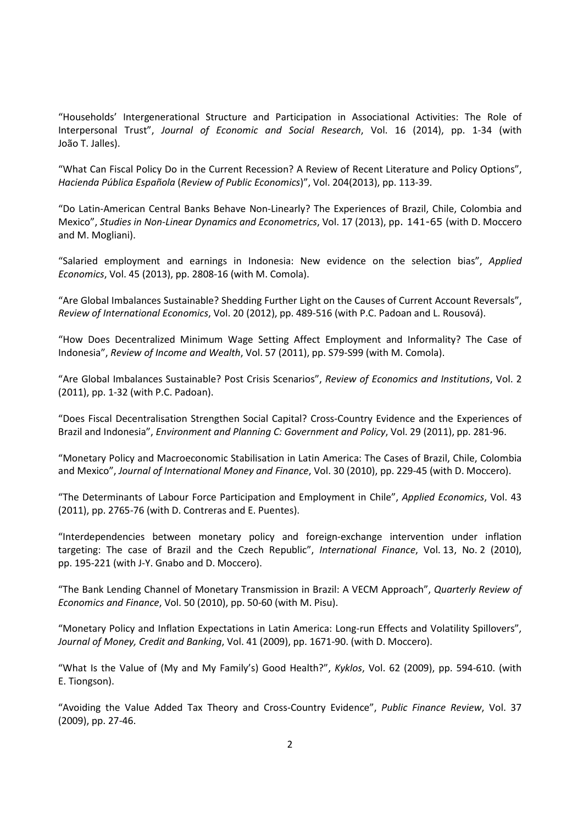"Households' Intergenerational Structure and Participation in Associational Activities: The Role of Interpersonal Trust", *Journal of Economic and Social Research*, Vol. 16 (2014), pp. 1-34 (with João T. Jalles).

"What Can Fiscal Policy Do in the Current Recession? A Review of Recent Literature and Policy Options", *Hacienda Pública Española* (*Review of Public Economics*)", Vol. 204(2013), pp. 113-39.

"Do Latin-American Central Banks Behave Non-Linearly? The Experiences of Brazil, Chile, Colombia and Mexico", *Studies in Non-Linear Dynamics and Econometrics*, [Vol. 17 \(2013\), p](http://www.degruyter.com/view/j/snde?volume=17&issue=2)p. 141-65 (with D. Moccero and M. Mogliani).

"Salaried employment and earnings in Indonesia: New evidence on the selection bias", *Applied Economics*, Vol. 45 (2013), pp. 2808-16 (with M. Comola).

"Are Global Imbalances Sustainable? Shedding Further Light on the Causes of Current Account Reversals", *Review of International Economics*, Vol. 20 (2012), pp. 489-516 (with P.C. Padoan and L. Rousová).

"How Does Decentralized Minimum Wage Setting Affect Employment and Informality? The Case of Indonesia", *Review of Income and Wealth*, Vol. 57 (2011), pp. S79-S99 (with M. Comola).

"Are Global Imbalances Sustainable? Post Crisis Scenarios", *Review of Economics and Institutions*, Vol. 2 (2011), pp. 1-32 (with P.C. Padoan).

"Does Fiscal Decentralisation Strengthen Social Capital? Cross-Country Evidence and the Experiences of Brazil and Indonesia", *Environment and Planning C: Government and Policy*, Vol. 29 (2011), pp. 281-96.

"Monetary Policy and Macroeconomic Stabilisation in Latin America: The Cases of Brazil, Chile, Colombia and Mexico", *Journal of International Money and Finance*, Vol. 30 (2010), pp. 229-45 (with D. Moccero).

"The Determinants of Labour Force Participation and Employment in Chile", *Applied Economics*, Vol. 43 (2011), pp. 2765-76 (with D. Contreras and E. Puentes).

"Interdependencies between monetary policy and foreign-exchange intervention under inflation targeting: The case of Brazil and the Czech Republic", *International Finance*, Vol. 13, No. 2 (2010), pp. 195-221 (with J-Y. Gnabo and D. Moccero).

"The Bank Lending Channel of Monetary Transmission in Brazil: A VECM Approach", *Quarterly Review of Economics and Finance*, Vol. 50 (2010), pp. 50-60 (with M. Pisu).

"Monetary Policy and Inflation Expectations in Latin America: Long-run Effects and Volatility Spillovers", *Journal of Money, Credit and Banking*, Vol. 41 (2009), pp. 1671-90. (with D. Moccero).

"What Is the Value of (My and My Family's) Good Health?", *Kyklos*, Vol. 62 (2009), pp. 594-610. (with E. Tiongson).

"Avoiding the Value Added Tax Theory and Cross-Country Evidence", *Public Finance Review*, Vol. 37 (2009), pp. 27-46.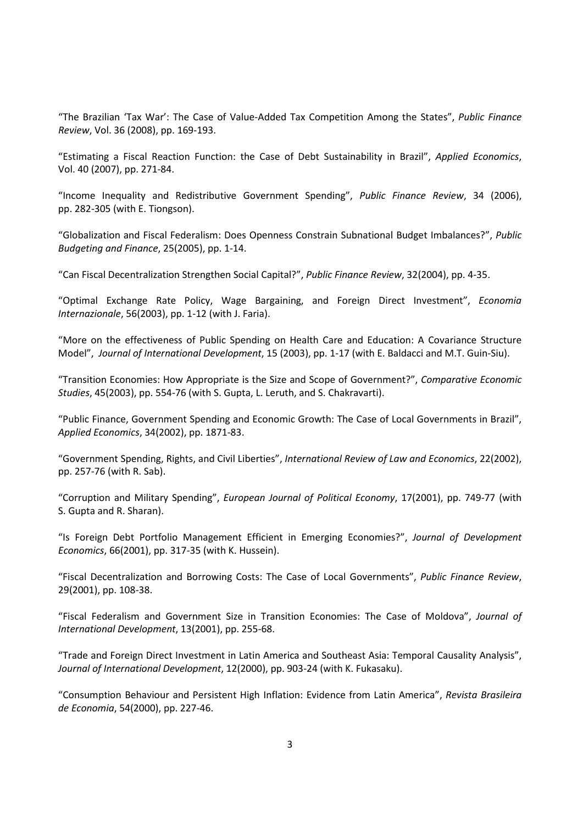"The Brazilian 'Tax War': The Case of Value-Added Tax Competition Among the States", *Public Finance Review*, Vol. 36 (2008), pp. 169-193.

"Estimating a Fiscal Reaction Function: the Case of Debt Sustainability in Brazil", *Applied Economics*, Vol. 40 (2007), pp. 271-84.

"Income Inequality and Redistributive Government Spending", *Public Finance Review*, 34 (2006), pp. 282-305 (with E. Tiongson).

"Globalization and Fiscal Federalism: Does Openness Constrain Subnational Budget Imbalances?", *Public Budgeting and Finance*, 25(2005), pp. 1-14.

"Can Fiscal Decentralization Strengthen Social Capital?", *Public Finance Review*, 32(2004), pp. 4-35.

"Optimal Exchange Rate Policy, Wage Bargaining, and Foreign Direct Investment", *Economia Internazionale*, 56(2003), pp. 1-12 (with J. Faria).

"More on the effectiveness of Public Spending on Health Care and Education: A Covariance Structure Model", *Journal of International Development*, 15 (2003), pp. 1-17 (with E. Baldacci and M.T. Guin-Siu).

"Transition Economies: How Appropriate is the Size and Scope of Government?", *Comparative Economic Studies*, 45(2003), pp. 554-76 (with S. Gupta, L. Leruth, and S. Chakravarti).

"Public Finance, Government Spending and Economic Growth: The Case of Local Governments in Brazil", *Applied Economics*, 34(2002), pp. 1871-83.

"Government Spending, Rights, and Civil Liberties", *International Review of Law and Economics*, 22(2002), pp. 257-76 (with R. Sab).

"Corruption and Military Spending", *European Journal of Political Economy*, 17(2001), pp. 749-77 (with S. Gupta and R. Sharan).

"Is Foreign Debt Portfolio Management Efficient in Emerging Economies?", *Journal of Development Economics*, 66(2001), pp. 317-35 (with K. Hussein).

"Fiscal Decentralization and Borrowing Costs: The Case of Local Governments", *Public Finance Review*, 29(2001), pp. 108-38.

"Fiscal Federalism and Government Size in Transition Economies: The Case of Moldova", *Journal of International Development*, 13(2001), pp. 255-68.

"Trade and Foreign Direct Investment in Latin America and Southeast Asia: Temporal Causality Analysis", *Journal of International Development*, 12(2000), pp. 903-24 (with K. Fukasaku).

"Consumption Behaviour and Persistent High Inflation: Evidence from Latin America", *Revista Brasileira de Economia*, 54(2000), pp. 227-46.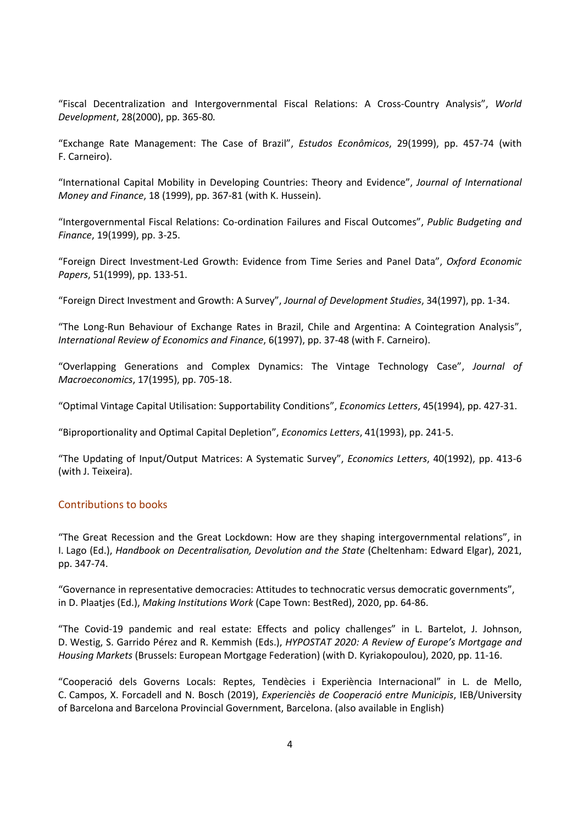"Fiscal Decentralization and Intergovernmental Fiscal Relations: A Cross-Country Analysis", *World Development*, 28(2000), pp. 365-80*.*

["Exchange Rate Management: The Case of Brazil"](http://www.estecon.fea.usp.br/index.php/estecon/article/viewFile/476/187), *Estudos Econômicos*, 29(1999), pp. 457-74 (with F. Carneiro).

"International Capital Mobility in Developing Countries: Theory and Evidence", *Journal of International Money and Finance*, 18 (1999), pp. 367-81 (with K. Hussein).

"Intergovernmental Fiscal Relations: Co-ordination Failures and Fiscal Outcomes", *Public Budgeting and Finance*, 19(1999), pp. 3-25.

["Foreign Direct Investment-Led Growth: Evidence from Time Series and Panel Data"](http://oep.oxfordjournals.org/cgi/reprint/51/1/133.pdf), *Oxford Economic Papers*, 51(1999), pp. 133-51.

"Foreign Direct Investment and Growth: A Survey", *Journal of Development Studies*, 34(1997), pp. 1-34.

"The Long-Run Behaviour of Exchange Rates in Brazil, Chile and Argentina: A Cointegration Analysis", *International Review of Economics and Finance*, 6(1997), pp. 37-48 (with F. Carneiro).

"Overlapping Generations and Complex Dynamics: The Vintage Technology Case", *Journal of Macroeconomics*, 17(1995), pp. 705-18.

["Optimal Vintage Capital Utilisation: Supportability Conditions"](http://www.sciencedirect.com/science?_ob=MImg&_imagekey=B6V84-4593DWM-K-1&_cdi=5860&_user=946274&_orig=na&_coverDate=08%2F31%2F1994&_sk=999549995&view=c&wchp=dGLzVlz-zSkzV&md5=3d3f5aa280d9c17d2883c8bb7d8172c7&ie=/sdarticle.pdf), *Economics Letters*, 45(1994), pp. 427-31.

"Biproportionality and [Optimal Capital Depletion"](http://www.sciencedirect.com/science?_ob=MImg&_imagekey=B6V84-45D0N9B-4M-1&_cdi=5860&_user=946274&_orig=na&_coverDate=12%2F31%2F1992&_sk=999599995&view=c&wchp=dGLbVzb-zSkzk&md5=cf87e3d3f1b6ae241df17ad198fec92e&ie=/sdarticle.pdf), *Economics Letters*, 41(1993), pp. 241-5.

["The Updating of Input/Output Matrices: A Systematic Survey"](http://www.sciencedirect.com/science?_ob=MImg&_imagekey=B6V84-45DMVX6-W5-1&_cdi=5860&_user=946274&_orig=na&_coverDate=12%2F31%2F1993&_sk=999589996&view=c&wchp=dGLbVtz-zSkWb&md5=ee8357cbbe8d15e3dabc2b8ffb711373&ie=/sdarticle.pdf), *Economics Letters*, 40(1992), pp. 413-6 (with J. Teixeira).

#### Contributions to books

"The Great Recession and the Great Lockdown: How are they shaping intergovernmental relations", in I. Lago (Ed.), *Handbook on Decentralisation, Devolution and the State* (Cheltenham: Edward Elgar), 2021, pp. 347-74.

"Governance in representative democracies: Attitudes to technocratic versus democratic governments", in D. Plaatjes (Ed.), *Making Institutions Work* (Cape Town: BestRed), 2020, pp. 64-86.

"The Covid-19 pandemic and real estate: Effects and policy challenges" in L. Bartelot, J. Johnson, D. Westig, S. Garrido Pérez and R. Kemmish (Eds.), *HYPOSTAT 2020: A Review of Europe's Mortgage and Housing Markets* (Brussels: European Mortgage Federation) (with D. Kyriakopoulou), 2020, pp. 11-16.

"Cooperació dels Governs Locals: Reptes, Tendècies i Experiència Internacional" in L. de Mello, C. Campos, X. Forcadell and N. Bosch (2019), *Experienciès de Cooperació entre Municipis*, IEB/University of Barcelona and Barcelona Provincial Government, Barcelona. (also available in English)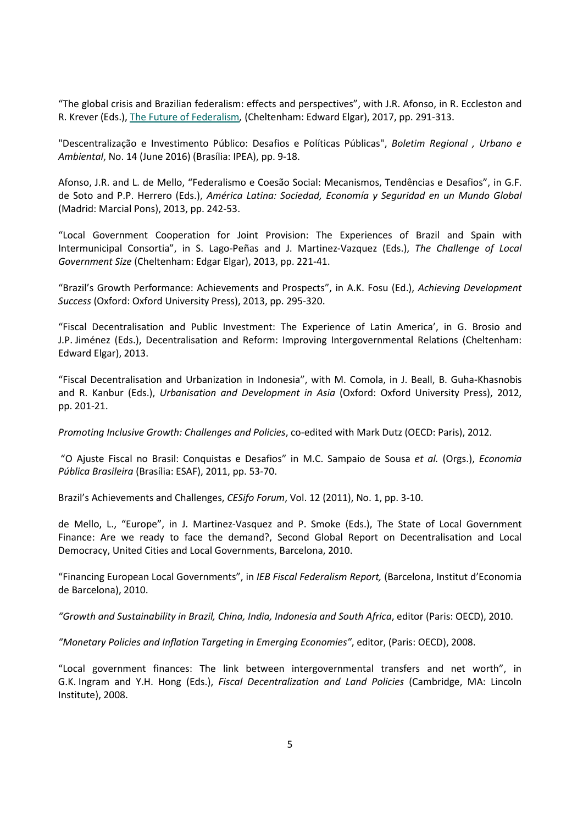"The global crisis and Brazilian federalism: effects and perspectives", with J.R. Afonso, in R. Eccleston and R. Krever (Eds.)[, The Future of Federalism](https://www.elgaronline.com/view/9781784717773.xml)*[,](https://www.elgaronline.com/view/9781784717773.xml)* (Cheltenham: Edward Elgar), 2017, pp. 291-313.

"Descentralização e Investimento Público: Desafios e Políticas Públicas", *Boletim Regional , Urbano e Ambiental*, No. 14 (June 2016) (Brasília: IPEA), pp. 9-18.

Afonso, J.R. and L. de Mello, "Federalismo e Coesão Social: Mecanismos, Tendências e Desafios", in G.F. de Soto and P.P. Herrero (Eds.), *América Latina: Sociedad, Economía y Seguridad en un Mundo Global* (Madrid: Marcial Pons), 2013, pp. 242-53.

"Local Government Cooperation for Joint Provision: The Experiences of Brazil and Spain with Intermunicipal Consortia", in S. Lago-Peñas and J. Martinez-Vazquez (Eds.), *The Challenge of Local Government Size* (Cheltenham: Edgar Elgar), 2013, pp. 221-41.

"Brazil's Growth Performance: Achievements and Prospects", in A.K. Fosu (Ed.), *Achieving Development Success* (Oxford: Oxford University Press), 2013, pp. 295-320.

"Fiscal Decentralisation and Public Investment: The Experience of Latin America', in G. Brosio and J.P. Jiménez (Eds.), Decentralisation and Reform: Improving Intergovernmental Relations (Cheltenham: Edward Elgar), 2013.

"Fiscal Decentralisation and Urbanization in Indonesia", with M. Comola, in J. Beall, B. Guha-Khasnobis and R. Kanbur (Eds.), *Urbanisation and Development in Asia* (Oxford: Oxford University Press), 2012, pp. 201-21.

*Promoting Inclusive Growth: Challenges and Policies*, co-edited with Mark Dutz (OECD: Paris), 2012.

"O Ajuste Fiscal no Brasil: Conquistas e Desafios" in M.C. Sampaio de Sousa *et al.* (Orgs.), *Economia Pública Brasileira* (Brasília: ESAF), 2011, pp. 53-70.

Brazil's Achievements and Challenges, *CESifo Forum*, Vol. 12 (2011), No. 1, pp. 3-10.

de Mello, L., "Europe", in J. Martinez-Vasquez and P. Smoke (Eds.), The State of Local Government Finance: Are we ready to face the demand?, Second Global Report on Decentralisation and Local Democracy, United Cities and Local Governments, Barcelona, 2010.

"Financing European Local Governments", in *IEB Fiscal Federalism Report,* (Barcelona, Institut d'Economia de Barcelona), 2010.

*"Growth and Sustainability in Brazil, China, India, Indonesia and South Africa*, editor (Paris: OECD), 2010.

*"Monetary Policies and Inflation Targeting in Emerging Economies"*, editor, (Paris: OECD), 2008.

"Local government finances: The link between intergovernmental transfers and net worth", in G.K. Ingram and Y.H. Hong (Eds.), *Fiscal Decentralization and Land Policies* (Cambridge, MA: Lincoln Institute), 2008.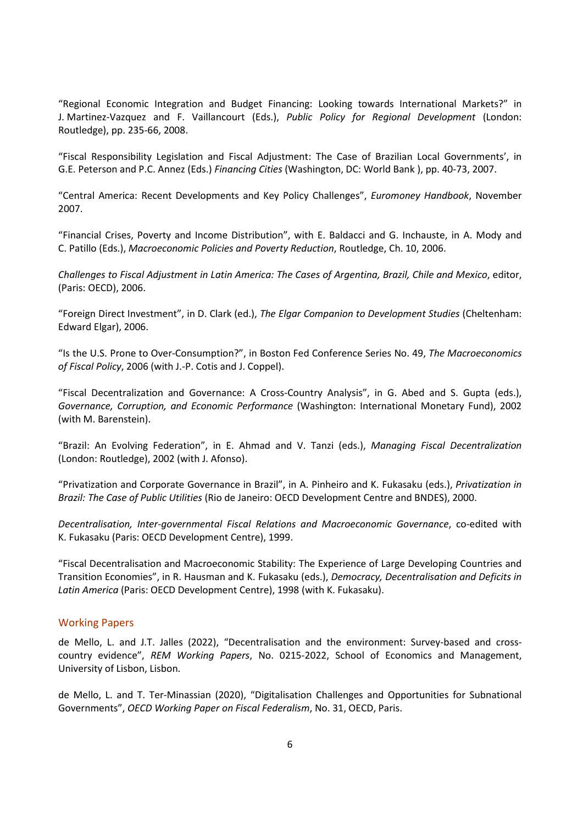"Regional Economic Integration and Budget Financing: Looking towards International Markets?" in J. Martinez-Vazquez and F. Vaillancourt (Eds.), *Public Policy for Regional Development* (London: Routledge), pp. 235-66, 2008.

"Fiscal Responsibility Legislation and Fiscal Adjustment: The Case of Brazilian Local Governments', in G.E. Peterson and P.C. Annez (Eds.) *Financing Cities* (Washington, DC: World Bank ), pp. 40-73, 2007.

"Central America: Recent Developments and Key Policy Challenges", *Euromoney Handbook*, November 2007.

"Financial Crises, Poverty and Income Distribution", with E. Baldacci and G. Inchauste, in A. Mody and C. Patillo (Eds.), *Macroeconomic Policies and Poverty Reduction*, Routledge, Ch. 10, 2006.

*Challenges to Fiscal Adjustment in Latin America: The Cases of Argentina, Brazil, Chile and Mexico*, editor, (Paris: OECD), 2006.

"Foreign Direct Investment", in D. Clark (ed.), *The Elgar Companion to Development Studies* (Cheltenham: Edward Elgar), 2006.

"Is the U.S. Prone to Over-Consumption?", in Boston Fed Conference Series No. 49, *The Macroeconomics of Fiscal Policy*, 2006 (with J.-P. Cotis and J. Coppel).

"Fiscal Decentralization and Governance: A Cross-Country Analysis", in G. Abed and S. Gupta (eds.), *Governance, Corruption, and Economic Performance* (Washington: International Monetary Fund), 2002 (with M. Barenstein).

"Brazil: An Evolving Federation", in E. Ahmad and V. Tanzi (eds.), *Managing Fiscal Decentralization*  (London: Routledge), 2002 (with J. Afonso).

"Privatization and Corporate Governance in Brazil", in A. Pinheiro and K. Fukasaku (eds.), *Privatization in Brazil: The Case of Public Utilities* (Rio de Janeiro: OECD Development Centre and BNDES), 2000.

*Decentralisation, Inter-governmental Fiscal Relations and Macroeconomic Governance*, co-edited with K. Fukasaku (Paris: OECD Development Centre), 1999.

"Fiscal Decentralisation and Macroeconomic Stability: The Experience of Large Developing Countries and Transition Economies", in R. Hausman and K. Fukasaku (eds.), *Democracy, Decentralisation and Deficits in Latin America* (Paris: OECD Development Centre), 1998 (with K. Fukasaku).

#### Working Papers

de Mello, L. and J.T. Jalles (2022), "Decentralisation and the environment: Survey-based and crosscountry evidence", *REM Working Papers*, No. 0215-2022, School of Economics and Management, University of Lisbon, Lisbon.

de Mello, L. and T. Ter-Minassian (2020), "Digitalisation Challenges and Opportunities for Subnational Governments", *OECD Working Paper on Fiscal Federalism*, No. 31, OECD, Paris.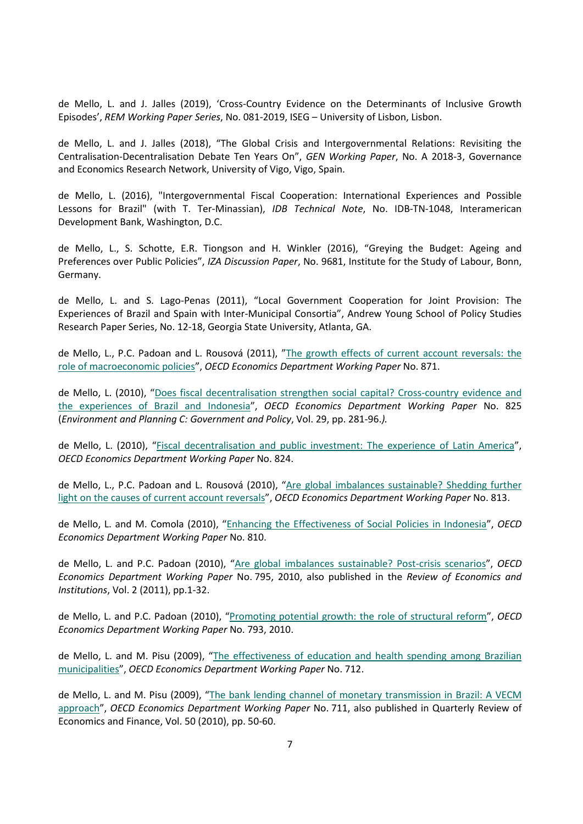de Mello, L. and J. Jalles (2019), 'Cross-Country Evidence on the Determinants of Inclusive Growth Episodes', *REM Working Paper Series*, No. 081-2019, ISEG – University of Lisbon, Lisbon.

de Mello, L. and J. Jalles (2018), "The Global Crisis and Intergovernmental Relations: Revisiting the Centralisation-Decentralisation Debate Ten Years On", *GEN Working Paper*, No. A 2018-3, Governance and Economics Research Network, University of Vigo, Vigo, Spain.

de Mello, L. (2016), "Intergovernmental Fiscal Cooperation: International Experiences and Possible Lessons for Brazil" (with T. Ter-Minassian), *IDB Technical Note*, No. IDB-TN-1048, Interamerican Development Bank, Washington, D.C.

de Mello, L., S. Schotte, E.R. Tiongson and H. Winkler (2016), "Greying the Budget: Ageing and Preferences over Public Policies", *IZA Discussion Paper*, No. 9681, Institute for the Study of Labour, Bonn, Germany.

de Mello, L. and S. Lago-Penas (2011), "Local Government Cooperation for Joint Provision: The Experiences of Brazil and Spain with Inter-Municipal Consortia", Andrew Young School of Policy Studies Research Paper Series, No. 12-18, Georgia State University, Atlanta, GA.

de Mello, L., P.C. Padoan and L. Rousová (2011), ["The growth effects of current account reversals: the](http://dx.doi.org/10.1787/5kgb1mftj6s3-en)  [role of macroeconomic policies"](http://dx.doi.org/10.1787/5kgb1mftj6s3-en), *OECD Economics Department Working Paper* No. 871.

de Mello, L. (2010), ["Does fiscal decentralisation strengthen social capital? Cross-country evidence and](http://dx.doi.org/10.1787/5km347ntdnxn-en)  [the experiences of Brazil and Indonesia"](http://dx.doi.org/10.1787/5km347ntdnxn-en), *OECD Economics Department Working Paper* No. 825 (*Environment and Planning C: Government and Policy*, Vol. 29, pp. 281-96.*).*

de Mello, L. (2010), ["Fiscal decentralisation and public investment: The experience of Latin America"](http://dx.doi.org/10.1787/5km347r2hhbp-en), *OECD Economics Department Working Paper* No. 824.

de Mello, L., P.C. Padoan and L. Rousová (2010), ["Are global imbalances sustainable? Shedding further](http://dx.doi.org/10.1787/5km4m2x07xhb-en)  [light on the causes of current account reversals"](http://dx.doi.org/10.1787/5km4m2x07xhb-en), *OECD Economics Department Working Paper* No. 813.

de Mello, L. and M. Comola (2010), ["Enhancing the Effectiveness of Social Policies in Indonesia"](http://dx.doi.org/10.1787/5km5xvbm6bf8-en), *OECD Economics Department Working Paper* No. 810.

de Mello, L. and P.C. Padoan (2010), ["Are global imbalances sustainable? Post-crisis scenarios"](http://www.oecd-ilibrary.org/economics/are-global-imbalances-sustainable_5kmbjh9p4jtc-en), *OECD Economics Department Working Paper* No. 795, 2010, also published in the *Review of Economics and Institutions*, Vol. 2 (2011), pp.1-32.

de Mello, L. and P.C. Padoan (2010), ["Promoting potential growth: the role of structural reform"](http://www.oecd-ilibrary.org/economics/promoting-potential-growth_5kmbm6rz4dg6-en), *OECD Economics Department Working Paper* No. 793, 2010.

de Mello, L. and M. Pisu (2009), ["The effectiveness of education and health spending among Brazilian](http://dx.doi.org/10.1787/222817104376)  [municipalities"](http://dx.doi.org/10.1787/222817104376), *OECD Economics Department Working Paper* No. 712.

de Mello, L. and M. Pisu (2009), "The bank lending channel of monetary transmission in Brazil: A VECM [approach"](http://dx.doi.org/10.1787/222818683155), *OECD Economics Department Working Paper* No. 711, also published in Quarterly Review of Economics and Finance, Vol. 50 (2010), pp. 50-60.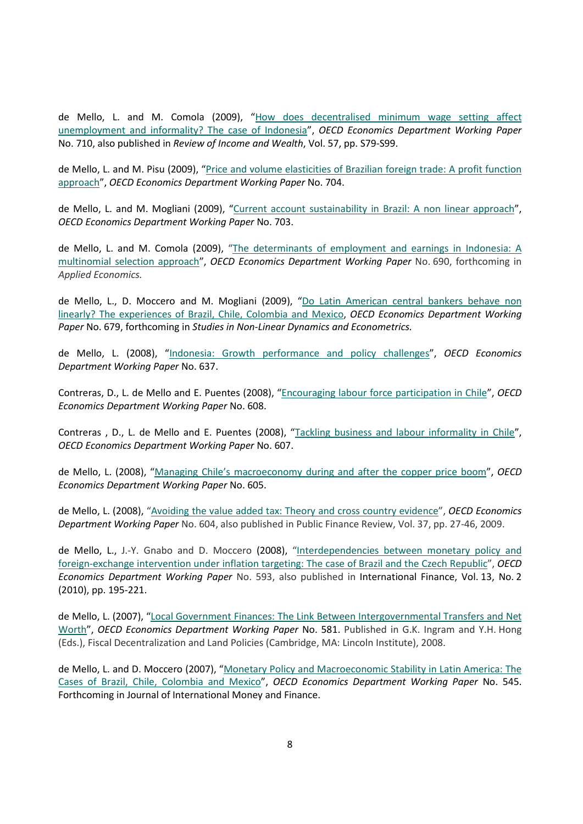de Mello, L. and M. Comola (2009), ["How does decentralised minimum wage setting affect](http://dx.doi.org/10.1787/222850046464)  [unemployment and informality? The case of Indonesia"](http://dx.doi.org/10.1787/222850046464), *OECD Economics Department Working Paper* No. 710, also published in *Review of Income and Wealth*, Vol. 57, pp. S79-S99.

de Mello, L. and M. Pisu (2009), ["Price and volume elasticities of Brazilian foreign trade: A profit function](http://dx.doi.org/10.1787/223388731464)  [approach"](http://dx.doi.org/10.1787/223388731464), *OECD Economics Department Working Paper* No. 704.

de Mello, L. and M. Mogliani (2009), ["Current account sustainability in Brazil: A non linear approach"](http://dx.doi.org/10.1787/223518424256), *OECD Economics Department Working Paper* No. 703.

de Mello, L. and M. Comola (2009), ["The determinants of employment and earnings in Indonesia: A](http://dx.doi.org/10.1787/224864812153)  [multinomial selection approach"](http://dx.doi.org/10.1787/224864812153), *OECD Economics Department Working Paper* No. 690, forthcoming in *Applied Economics.*

de Mello, L., D. Moccero and M. Mogliani (2009), ["Do Latin American central bankers behave non](http://dx.doi.org/10.1787/226284172842)  [linearly? The experiences of Brazil, Chile, Colombia and Mexico,](http://dx.doi.org/10.1787/226284172842) *OECD Economics Department Working Paper* No. 679, forthcoming in *Studies in Non-Linear Dynamics and Econometrics.*

de Mello, L. (2008), ["Indonesia: Growth performance and policy challenges"](http://dx.doi.org/10.1787/236831785800), *OECD Economics Department Working Paper* No. 637.

Contreras, D., L. de Mello and E. Puentes (2008), ["Encouraging labour force participation in](http://dx.doi.org/10.1787/242103851837) Chile", *OECD Economics Department Working Paper* No. 608.

Contreras, D., L. de Mello and E. Puentes (2008), ["Tackling business and labour informality in Chile"](http://dx.doi.org/10.1787/242111325372), *OECD Economics Department Working Paper* No. 607.

de Mello, L. (2008), ["Managing Chile's macroeconomy during and after the copper price boom"](http://dx.doi.org/10.1787/242135544660), *OECD Economics Department Working Paper* No. 605.

de Mello, L. (2008), ["Avoiding the value added tax: Theory and cross country evidence"](http://dx.doi.org/10.1787/242167601452), *OECD Economics Department Working Paper* No. 604, also published in Public Finance Review, Vol. 37, pp. 27-46, 2009.

de Mello, L., J.-Y. Gnabo and D. Moccero (2008), "Interdependencies between monetary policy and [foreign-exchange intervention under inflation targeting: The case of Brazil and the Czech Republic"](http://dx.doi.org/10.1787/245585283155), *OECD Economics Department Working Paper* No. 593, also published in International Finance, Vol. 13, No. 2 (2010), pp. 195-221.

de Mello, L. (2007), "Local Government Finances: The Link Between Intergovernmental Transfers and Net [Worth"](http://dx.doi.org/10.1787/080476332876), *OECD Economics Department Working Paper* No. 581. Published in G.K. Ingram and Y.H. Hong (Eds.), Fiscal Decentralization and Land Policies (Cambridge, MA: Lincoln Institute), 2008.

de Mello, L. and D. Moccero (2007), ["Monetary Policy and Macroeconomic Stability in Latin America: The](http://dx.doi.org/10.1787/285851107845)  [Cases of Brazil, Chile, Colombia and Mexico"](http://dx.doi.org/10.1787/285851107845), *OECD Economics Department Working Paper* No. 545. Forthcoming in Journal of International Money and Finance.